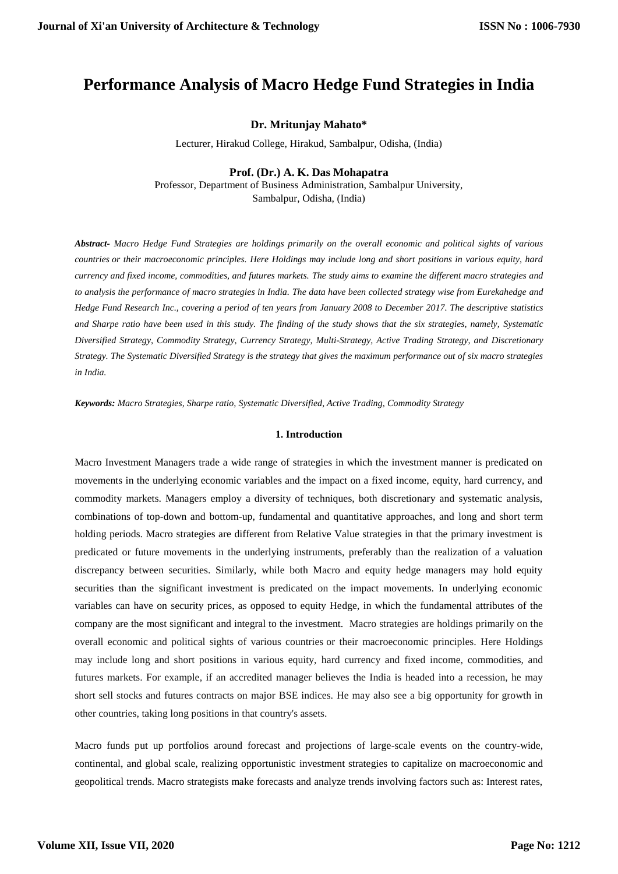# **Performance Analysis of Macro Hedge Fund Strategies in India**

## **Dr. Mritunjay Mahato\***

Lecturer, Hirakud College, Hirakud, Sambalpur, Odisha, (India)

### **Prof. (Dr.) A. K. Das Mohapatra**

Professor, Department of Business Administration, Sambalpur University, Sambalpur, Odisha, (India)

*Abstract- Macro Hedge Fund Strategies are holdings primarily on the overall economic and political sights of various countries or their macroeconomic principles. Here Holdings may include long and short positions in various equity, hard currency and fixed income, commodities, and futures markets. The study aims to examine the different macro strategies and to analysis the performance of macro strategies in India. The data have been collected strategy wise from Eurekahedge and Hedge Fund Research Inc., covering a period of ten years from January 2008 to December 2017. The descriptive statistics and Sharpe ratio have been used in this study. The finding of the study shows that the six strategies, namely, Systematic Diversified Strategy, Commodity Strategy, Currency Strategy, Multi-Strategy, Active Trading Strategy, and Discretionary Strategy. The Systematic Diversified Strategy is the strategy that gives the maximum performance out of six macro strategies in India.*

*Keywords: Macro Strategies, Sharpe ratio, Systematic Diversified, Active Trading, Commodity Strategy*

#### **1. Introduction**

Macro Investment Managers trade a wide range of strategies in which the investment manner is predicated on movements in the underlying economic variables and the impact on a fixed income, equity, hard currency, and commodity markets. Managers employ a diversity of techniques, both discretionary and systematic analysis, combinations of top-down and bottom-up, fundamental and quantitative approaches, and long and short term holding periods. Macro strategies are different from Relative Value strategies in that the primary investment is predicated or future movements in the underlying instruments, preferably than the realization of a valuation discrepancy between securities. Similarly, while both Macro and equity hedge managers may hold equity securities than the significant investment is predicated on the impact movements. In underlying economic variables can have on security prices, as opposed to equity Hedge, in which the fundamental attributes of the company are the most significant and integral to the investment. Macro strategies are holdings primarily on the overall economic and political sights of various countries or their macroeconomic principles. Here Holdings may include long and short positions in various equity, hard currency and fixed income, commodities, and futures markets. For example, if an accredited manager believes the India is headed into a recession, he may short sell stocks and futures contracts on major BSE indices. He may also see a big opportunity for growth in other countries, taking long positions in that country's assets.

Macro funds put up portfolios around forecast and projections of large-scale events on the country-wide, continental, and global scale, realizing opportunistic investment strategies to capitalize on [macroeconomic](https://www.investopedia.com/terms/m/macroeconomics.asp) and geopolitical trends. Macro strategists make forecasts and analyze trends involving factors such as: Interest rates,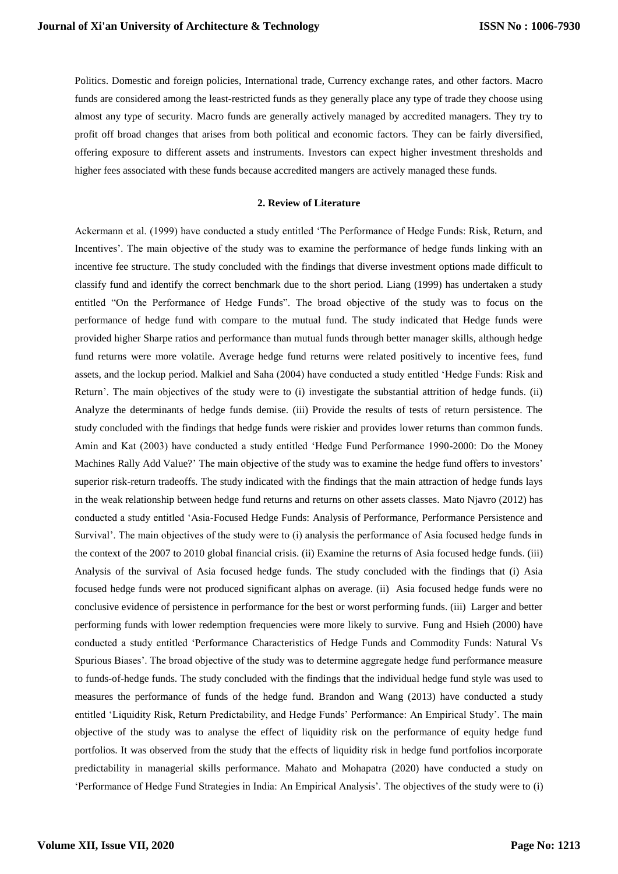Politics. Domestic and foreign policies, International trade, Currency exchange rates, and other factors. Macro funds are considered among the least-restricted funds as they generally place any type of trade they choose using almost any type of security. Macro funds are generally actively managed by accredited managers. They try to profit off broad changes that arises from both political and economic factors. They can be fairly diversified, offering exposure to different assets and instruments. Investors can expect higher investment thresholds and higher fees associated with these funds because accredited mangers are actively managed these funds.

#### **2. Review of Literature**

Ackermann et al. (1999) have conducted a study entitled 'The Performance of Hedge Funds: Risk, Return, and Incentives'. The main objective of the study was to examine the performance of hedge funds linking with an incentive fee structure. The study concluded with the findings that diverse investment options made difficult to classify fund and identify the correct benchmark due to the short period. Liang (1999) has undertaken a study entitled "On the Performance of Hedge Funds". The broad objective of the study was to focus on the performance of hedge fund with compare to the mutual fund. The study indicated that Hedge funds were provided higher Sharpe ratios and performance than mutual funds through better manager skills, although hedge fund returns were more volatile. Average hedge fund returns were related positively to incentive fees, fund assets, and the lockup period. Malkiel and Saha (2004) have conducted a study entitled 'Hedge Funds: Risk and Return'. The main objectives of the study were to (i) investigate the substantial attrition of hedge funds. (ii) Analyze the determinants of hedge funds demise. (iii) Provide the results of tests of return persistence. The study concluded with the findings that hedge funds were riskier and provides lower returns than common funds. Amin and Kat (2003) have conducted a study entitled 'Hedge Fund Performance 1990-2000: Do the Money Machines Rally Add Value?' The main objective of the study was to examine the hedge fund offers to investors' superior risk-return tradeoffs. The study indicated with the findings that the main attraction of hedge funds lays in the weak relationship between hedge fund returns and returns on other assets classes. Mato Njavro (2012) has conducted a study entitled 'Asia-Focused Hedge Funds: Analysis of Performance, Performance Persistence and Survival'. The main objectives of the study were to (i) analysis the performance of Asia focused hedge funds in the context of the 2007 to 2010 global financial crisis. (ii) Examine the returns of Asia focused hedge funds. (iii) Analysis of the survival of Asia focused hedge funds. The study concluded with the findings that (i) Asia focused hedge funds were not produced significant alphas on average. (ii) Asia focused hedge funds were no conclusive evidence of persistence in performance for the best or worst performing funds. (iii) Larger and better performing funds with lower redemption frequencies were more likely to survive. Fung and Hsieh (2000) have conducted a study entitled 'Performance Characteristics of Hedge Funds and Commodity Funds: Natural Vs Spurious Biases'. The broad objective of the study was to determine aggregate hedge fund performance measure to funds-of-hedge funds. The study concluded with the findings that the individual hedge fund style was used to measures the performance of funds of the hedge fund. Brandon and Wang (2013) have conducted a study entitled 'Liquidity Risk, Return Predictability, and Hedge Funds' Performance: An Empirical Study'. The main objective of the study was to analyse the effect of liquidity risk on the performance of equity hedge fund portfolios. It was observed from the study that the effects of liquidity risk in hedge fund portfolios incorporate predictability in managerial skills performance. Mahato and Mohapatra (2020) have conducted a study on 'Performance of Hedge Fund Strategies in India: An Empirical Analysis'. The objectives of the study were to (i)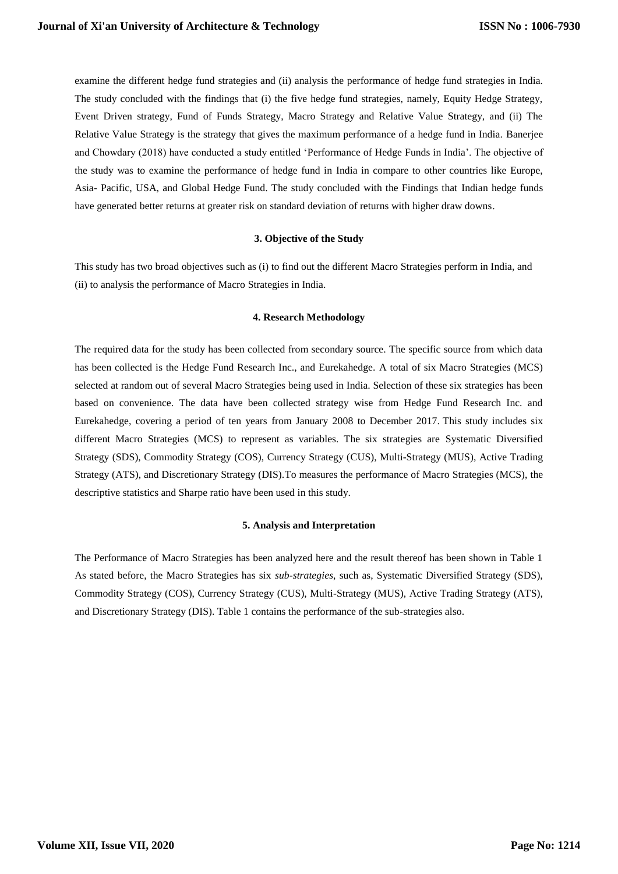examine the different hedge fund strategies and (ii) analysis the performance of hedge fund strategies in India. The study concluded with the findings that (i) the five hedge fund strategies, namely, Equity Hedge Strategy, Event Driven strategy, Fund of Funds Strategy, Macro Strategy and Relative Value Strategy, and (ii) The Relative Value Strategy is the strategy that gives the maximum performance of a hedge fund in India. Banerjee and Chowdary (2018) have conducted a study entitled 'Performance of Hedge Funds in India'. The objective of the study was to examine the performance of hedge fund in India in compare to other countries like Europe, Asia- Pacific, USA, and Global Hedge Fund. The study concluded with the Findings that Indian hedge funds have generated better returns at greater risk on standard deviation of returns with higher draw downs.

## **3. Objective of the Study**

This study has two broad objectives such as (i) to find out the different Macro Strategies perform in India, and (ii) to analysis the performance of Macro Strategies in India.

#### **4. Research Methodology**

The required data for the study has been collected from secondary source. The specific source from which data has been collected is the Hedge Fund Research Inc., and Eurekahedge. A total of six Macro Strategies (MCS) selected at random out of several Macro Strategies being used in India. Selection of these six strategies has been based on convenience. The data have been collected strategy wise from Hedge Fund Research Inc. and Eurekahedge, covering a period of ten years from January 2008 to December 2017. This study includes six different Macro Strategies (MCS) to represent as variables. The six strategies are Systematic Diversified Strategy (SDS), Commodity Strategy (COS), Currency Strategy (CUS), Multi-Strategy (MUS), Active Trading Strategy (ATS), and Discretionary Strategy (DIS).To measures the performance of Macro Strategies (MCS), the descriptive statistics and Sharpe ratio have been used in this study.

#### **5. Analysis and Interpretation**

The Performance of Macro Strategies has been analyzed here and the result thereof has been shown in Table 1 As stated before, the Macro Strategies has six *sub-strategies*, such as, Systematic Diversified Strategy (SDS), Commodity Strategy (COS), Currency Strategy (CUS), Multi-Strategy (MUS), Active Trading Strategy (ATS), and Discretionary Strategy (DIS). Table 1 contains the performance of the sub-strategies also.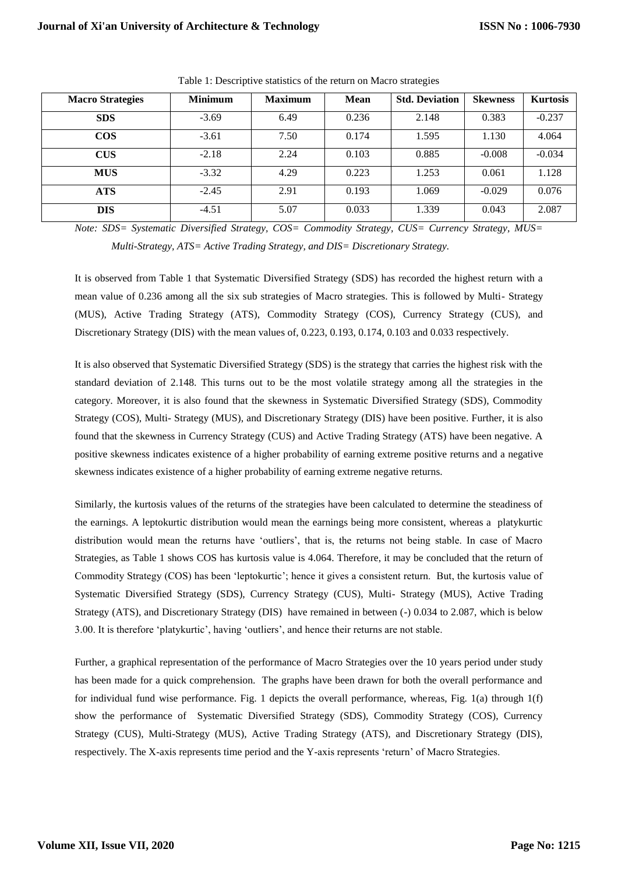| <b>Macro Strategies</b> | <b>Minimum</b> | <b>Maximum</b> | Mean  | <b>Std. Deviation</b> | <b>Skewness</b> | <b>Kurtosis</b> |
|-------------------------|----------------|----------------|-------|-----------------------|-----------------|-----------------|
| <b>SDS</b>              | $-3.69$        | 6.49           | 0.236 | 2.148                 | 0.383           | $-0.237$        |
| <b>COS</b>              | $-3.61$        | 7.50           | 0.174 | 1.595                 | 1.130           | 4.064           |
| <b>CUS</b>              | $-2.18$        | 2.24           | 0.103 | 0.885                 | $-0.008$        | $-0.034$        |
| <b>MUS</b>              | $-3.32$        | 4.29           | 0.223 | 1.253                 | 0.061           | 1.128           |
| ATS                     | $-2.45$        | 2.91           | 0.193 | 1.069                 | $-0.029$        | 0.076           |
| <b>DIS</b>              | $-4.51$        | 5.07           | 0.033 | 1.339                 | 0.043           | 2.087           |

Table 1: Descriptive statistics of the return on Macro strategies

*Note: SDS= Systematic Diversified Strategy, COS= Commodity Strategy, CUS= Currency Strategy, MUS= Multi-Strategy, ATS= Active Trading Strategy, and DIS= Discretionary Strategy.*

It is observed from Table 1 that Systematic Diversified Strategy (SDS) has recorded the highest return with a mean value of 0.236 among all the six sub strategies of Macro strategies. This is followed by Multi- Strategy (MUS), Active Trading Strategy (ATS), Commodity Strategy (COS), Currency Strategy (CUS), and Discretionary Strategy (DIS) with the mean values of, 0.223, 0.193, 0.174, 0.103 and 0.033 respectively.

It is also observed that Systematic Diversified Strategy (SDS) is the strategy that carries the highest risk with the standard deviation of 2.148. This turns out to be the most volatile strategy among all the strategies in the category. Moreover, it is also found that the skewness in Systematic Diversified Strategy (SDS), Commodity Strategy (COS), Multi- Strategy (MUS), and Discretionary Strategy (DIS) have been positive. Further, it is also found that the skewness in Currency Strategy (CUS) and Active Trading Strategy (ATS) have been negative. A positive skewness indicates existence of a higher probability of earning extreme positive returns and a negative skewness indicates existence of a higher probability of earning extreme negative returns.

Similarly, the kurtosis values of the returns of the strategies have been calculated to determine the steadiness of the earnings. A leptokurtic distribution would mean the earnings being more consistent, whereas a platykurtic distribution would mean the returns have 'outliers', that is, the returns not being stable. In case of Macro Strategies, as Table 1 shows COS has kurtosis value is 4.064. Therefore, it may be concluded that the return of Commodity Strategy (COS) has been 'leptokurtic'; hence it gives a consistent return. But, the kurtosis value of Systematic Diversified Strategy (SDS), Currency Strategy (CUS), Multi- Strategy (MUS), Active Trading Strategy (ATS), and Discretionary Strategy (DIS) have remained in between (-) 0.034 to 2.087, which is below 3.00. It is therefore 'platykurtic', having 'outliers', and hence their returns are not stable.

Further, a graphical representation of the performance of Macro Strategies over the 10 years period under study has been made for a quick comprehension. The graphs have been drawn for both the overall performance and for individual fund wise performance. Fig. 1 depicts the overall performance, whereas, Fig. 1(a) through 1(f) show the performance of Systematic Diversified Strategy (SDS), Commodity Strategy (COS), Currency Strategy (CUS), Multi-Strategy (MUS), Active Trading Strategy (ATS), and Discretionary Strategy (DIS), respectively. The X-axis represents time period and the Y-axis represents 'return' of Macro Strategies.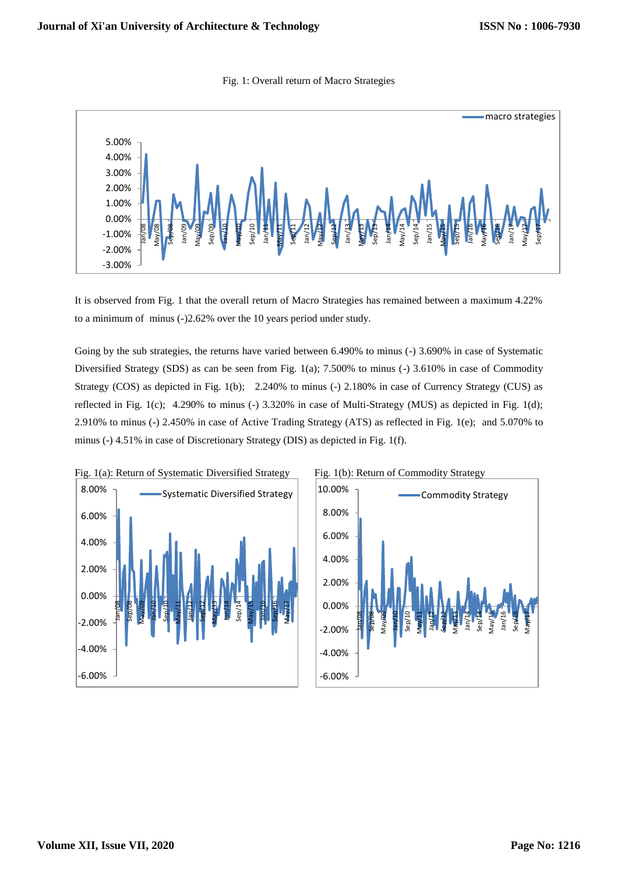



It is observed from Fig. 1 that the overall return of Macro Strategies has remained between a maximum 4.22% to a minimum of minus (-)2.62% over the 10 years period under study.

Going by the sub strategies, the returns have varied between 6.490% to minus (-) 3.690% in case of Systematic Diversified Strategy (SDS) as can be seen from Fig. 1(a); 7.500% to minus (-) 3.610% in case of Commodity Strategy (COS) as depicted in Fig. 1(b); 2.240% to minus (-) 2.180% in case of Currency Strategy (CUS) as reflected in Fig. 1(c); 4.290% to minus (-) 3.320% in case of Multi-Strategy (MUS) as depicted in Fig. 1(d); 2.910% to minus (-) 2.450% in case of Active Trading Strategy (ATS) as reflected in Fig. 1(e); and 5.070% to minus (-) 4.51% in case of Discretionary Strategy (DIS) as depicted in Fig. 1(f).



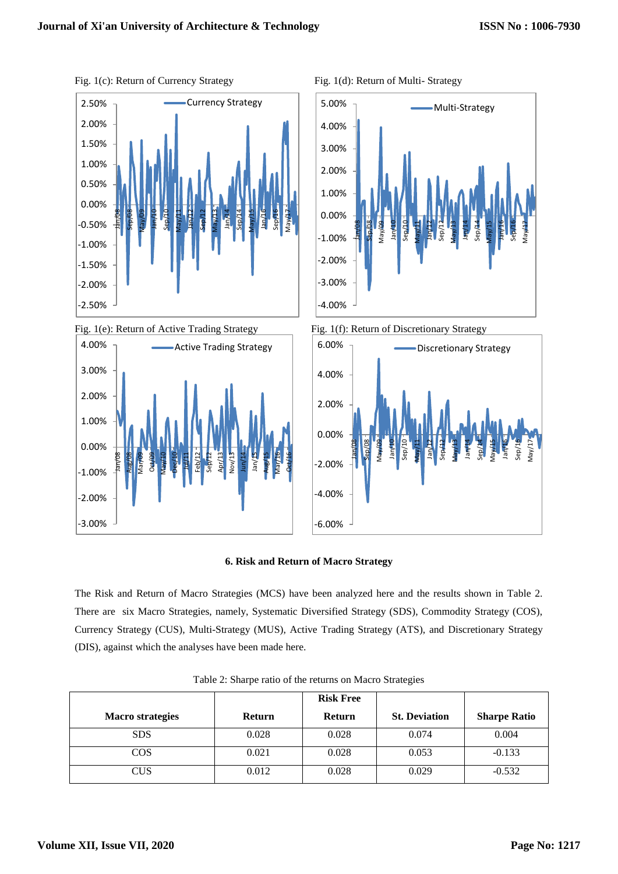

Active Trading Strategy





Fig. 1(e): Return of Active Trading Strategy Fig. 1(f): Return of Discretionary Strategy



## **6. Risk and Return of Macro Strategy**

The Risk and Return of Macro Strategies (MCS) have been analyzed here and the results shown in Table 2. There are six Macro Strategies, namely, Systematic Diversified Strategy (SDS), Commodity Strategy (COS), Currency Strategy (CUS), Multi-Strategy (MUS), Active Trading Strategy (ATS), and Discretionary Strategy (DIS), against which the analyses have been made here.

|                         |               | <b>Risk Free</b> |                      |                     |
|-------------------------|---------------|------------------|----------------------|---------------------|
| <b>Macro</b> strategies | <b>Return</b> | <b>Return</b>    | <b>St. Deviation</b> | <b>Sharpe Ratio</b> |
| <b>SDS</b>              | 0.028         | 0.028            | 0.074                | 0.004               |
| $\cos$                  | 0.021         | 0.028            | 0.053                | $-0.133$            |
| CUS                     | 0.012         | 0.028            | 0.029                | $-0.532$            |

Table 2: Sharpe ratio of the returns on Macro Strategies

-3.00%

-2.00%

-1.00%

Jan/08 Aug/08 Mar/09 Oct/09 May/10 Dec/10 Jul/11 Feb/12 Sep/12 Apr/13 Nov/13 Jun/14 Jan/15 Aug/15 Mar/16 Oct/16

0.00%

1.00%

2.00%

3.00%

4.00%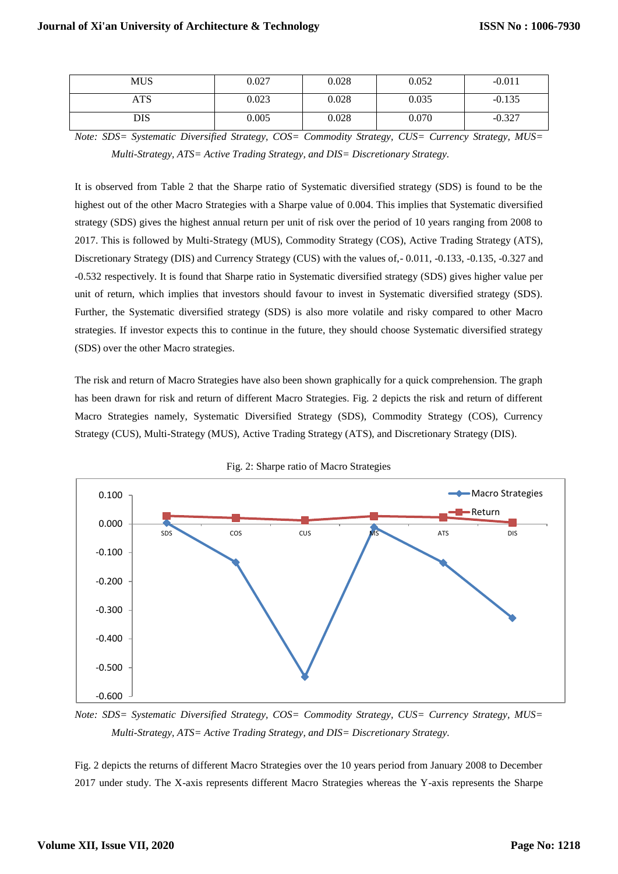| <b>MUS</b> | 0.027 | 0.028 | 0.052 | $-0.011$ |
|------------|-------|-------|-------|----------|
| <b>ATS</b> | 0.023 | 0.028 | 0.035 | $-0.135$ |
| DIS        | 0.005 | 0.028 | 0.070 | $-0.327$ |

*Note: SDS= Systematic Diversified Strategy, COS= Commodity Strategy, CUS= Currency Strategy, MUS= Multi-Strategy, ATS= Active Trading Strategy, and DIS= Discretionary Strategy.*

It is observed from Table 2 that the Sharpe ratio of Systematic diversified strategy (SDS) is found to be the highest out of the other Macro Strategies with a Sharpe value of 0.004. This implies that Systematic diversified strategy (SDS) gives the highest annual return per unit of risk over the period of 10 years ranging from 2008 to 2017. This is followed by Multi-Strategy (MUS), Commodity Strategy (COS), Active Trading Strategy (ATS), Discretionary Strategy (DIS) and Currency Strategy (CUS) with the values of,- 0.011, -0.133, -0.135, -0.327 and -0.532 respectively. It is found that Sharpe ratio in Systematic diversified strategy (SDS) gives higher value per unit of return, which implies that investors should favour to invest in Systematic diversified strategy (SDS). Further, the Systematic diversified strategy (SDS) is also more volatile and risky compared to other Macro strategies. If investor expects this to continue in the future, they should choose Systematic diversified strategy (SDS) over the other Macro strategies.

The risk and return of Macro Strategies have also been shown graphically for a quick comprehension. The graph has been drawn for risk and return of different Macro Strategies. Fig. 2 depicts the risk and return of different Macro Strategies namely, Systematic Diversified Strategy (SDS), Commodity Strategy (COS), Currency Strategy (CUS), Multi-Strategy (MUS), Active Trading Strategy (ATS), and Discretionary Strategy (DIS).



Fig. 2: Sharpe ratio of Macro Strategies

*Note: SDS= Systematic Diversified Strategy, COS= Commodity Strategy, CUS= Currency Strategy, MUS= Multi-Strategy, ATS= Active Trading Strategy, and DIS= Discretionary Strategy.*

Fig. 2 depicts the returns of different Macro Strategies over the 10 years period from January 2008 to December 2017 under study. The X-axis represents different Macro Strategies whereas the Y-axis represents the Sharpe